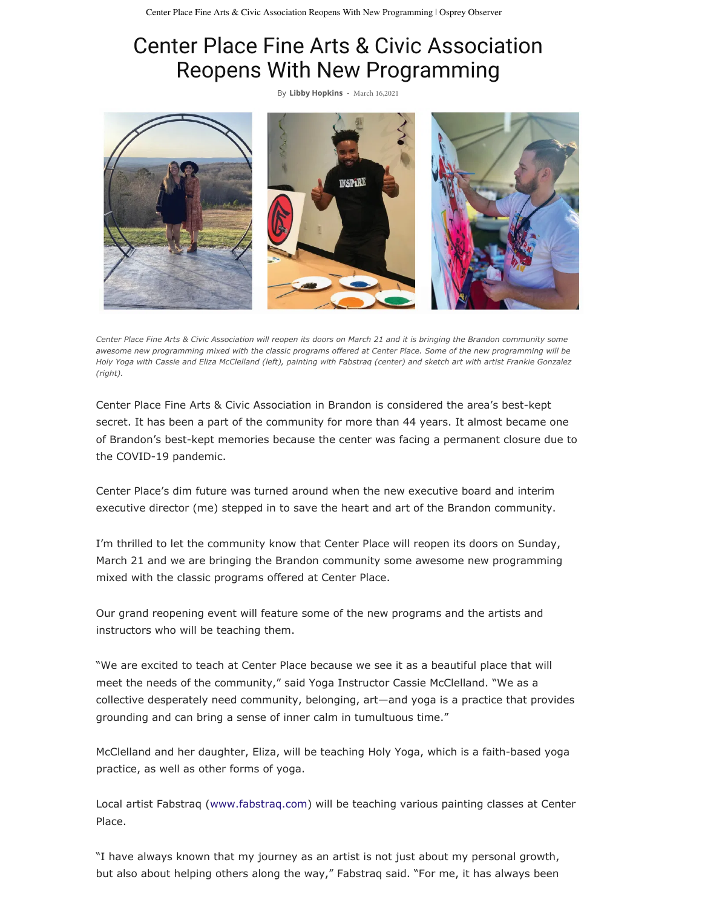## Center Place Fine Arts & Civic Association Reopens With New Programming

By **[Libby Hopkins](https://www.ospreyobserver.com/author/libby/)** - March 16,2021



*Center Place Fine Arts & Civic Association will reopen its doors on March 21 and it is bringing the Brandon community some awesome new programming mixed with the classic programs offered at Center Place. Some of the new programming will be Holy Yoga with Cassie and Eliza McClelland (left), painting with Fabstraq (center) and sketch art with artist Frankie Gonzalez (right).*

Center Place Fine Arts & Civic Association in Brandon is considered the area's best-kept secret. It has been a part of the community for more than 44 years. It almost became one of Brandon's best-kept memories because the center was facing a permanent closure due to the COVID-19 pandemic.

Center Place's dim future was turned around when the new executive board and interim executive director (me) stepped in to save the heart and art of the Brandon community.

I'm thrilled to let the community know that Center Place will reopen its doors on Sunday, March 21 and we are bringing the Brandon community some awesome new programming mixed with the classic programs offered at Center Place.

Our grand reopening event will feature some of the new programs and the artists and instructors who will be teaching them.

"We are excited to teach at Center Place because we see it as a beautiful place that will meet the needs of the community," said Yoga Instructor Cassie McClelland. "We as a collective desperately need community, belonging, art—and yoga is a practice that provides grounding and can bring a sense of inner calm in tumultuous time."

McClelland and her daughter, Eliza, will be teaching Holy Yoga, which is a faith-based yoga practice, as well as other forms of yoga.

Local artist Fabstraq [\(www.fabstraq.com](http://www.fabstraq.com/)) will be teaching various painting classes at Center Place.

"I have always known that my journey as an artist is not just about my personal growth, but also about helping others along the way," Fabstraq said. "For me, it has always been